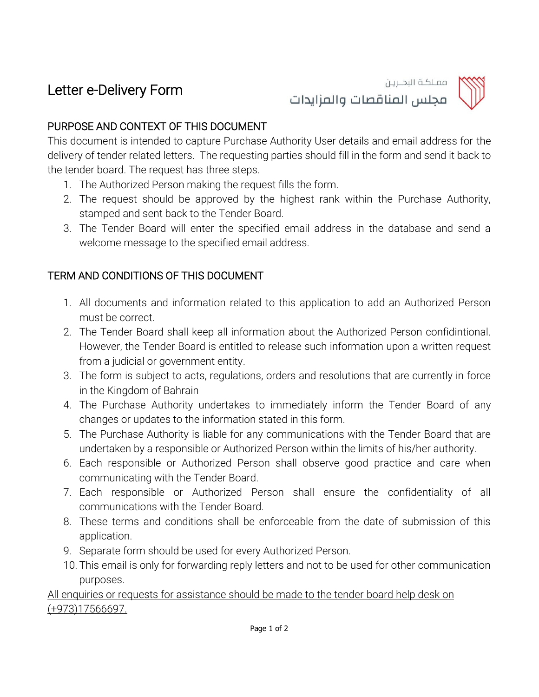## Letter e-Delivery Form



مجلس المناقصات والمزايدات

مملكة البحــريـن

## PURPOSE AND CONTEXT OF THIS DOCUMENT

This document is intended to capture Purchase Authority User details and email address for the delivery of tender related letters. The requesting parties should fill in the form and send it back to the tender board. The request has three steps.

- 1. The Authorized Person making the request fills the form.
- 2. The request should be approved by the highest rank within the Purchase Authority, stamped and sent back to the Tender Board.
- 3. The Tender Board will enter the specified email address in the database and send a welcome message to the specified email address.

## TERM AND CONDITIONS OF THIS DOCUMENT

- 1. All documents and information related to this application to add an Authorized Person must be correct.
- 2. The Tender Board shall keep all information about the Authorized Person confidintional. However, the Tender Board is entitled to release such information upon a written request from a judicial or government entity.
- 3. The form is subject to acts, regulations, orders and resolutions that are currently in force in the Kingdom of Bahrain
- 4. The Purchase Authority undertakes to immediately inform the Tender Board of any changes or updates to the information stated in this form.
- 5. The Purchase Authority is liable for any communications with the Tender Board that are undertaken by a responsible or Authorized Person within the limits of his/her authority.
- 6. Each responsible or Authorized Person shall observe good practice and care when communicating with the Tender Board.
- 7. Each responsible or Authorized Person shall ensure the confidentiality of all communications with the Tender Board.
- 8. These terms and conditions shall be enforceable from the date of submission of this application.
- 9. Separate form should be used for every Authorized Person.
- 10. This email is only for forwarding reply letters and not to be used for other communication purposes.

## All enquiries or requests for assistance should be made to the tender board help desk on (+973)17566697.